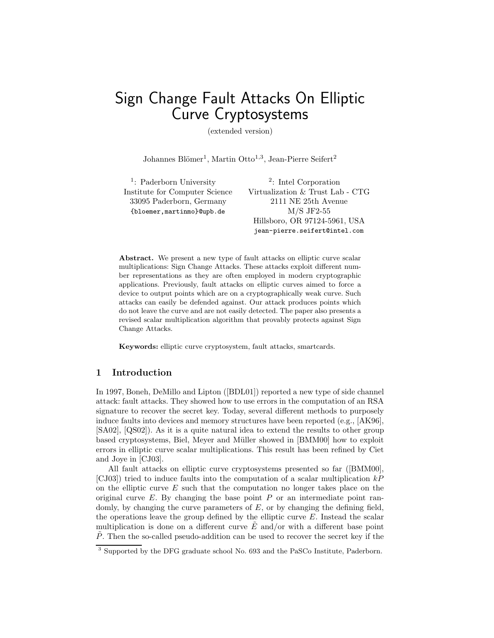# Sign Change Fault Attacks On Elliptic Curve Cryptosystems

(extended version)

Johannes Blömer<sup>1</sup>, Martin Otto<sup>1,3</sup>, Jean-Pierre Seifert<sup>2</sup>

Lab - CTG

jean-pierre.seifert@intel.com

| <sup>1</sup> : Paderborn University | $\frac{2}{ }$ : Intel Corporation |
|-------------------------------------|-----------------------------------|
| Institute for Computer Science      | Virtualization & Trust Lab - CT   |
| 33095 Paderborn, Germany            | 2111 NE 25th Avenue               |
| {bloemer, martinmo}@upb.de          | $M/S$ JF2-55                      |
|                                     | Hillsboro, OR 97124-5961, USA     |

Abstract. We present a new type of fault attacks on elliptic curve scalar multiplications: Sign Change Attacks. These attacks exploit different number representations as they are often employed in modern cryptographic applications. Previously, fault attacks on elliptic curves aimed to force a device to output points which are on a cryptographically weak curve. Such attacks can easily be defended against. Our attack produces points which do not leave the curve and are not easily detected. The paper also presents a revised scalar multiplication algorithm that provably protects against Sign Change Attacks.

Keywords: elliptic curve cryptosystem, fault attacks, smartcards.

### 1 Introduction

In 1997, Boneh, DeMillo and Lipton ([BDL01]) reported a new type of side channel attack: fault attacks. They showed how to use errors in the computation of an RSA signature to recover the secret key. Today, several different methods to purposely induce faults into devices and memory structures have been reported (e.g., [AK96], [SA02], [QS02]). As it is a quite natural idea to extend the results to other group based cryptosystems, Biel, Meyer and Müller showed in [BMM00] how to exploit errors in elliptic curve scalar multiplications. This result has been refined by Ciet and Joye in [CJ03].

All fault attacks on elliptic curve cryptosystems presented so far ([BMM00], [CJ03]) tried to induce faults into the computation of a scalar multiplication  $kP$ on the elliptic curve  $E$  such that the computation no longer takes place on the original curve  $E$ . By changing the base point  $P$  or an intermediate point randomly, by changing the curve parameters of  $E$ , or by changing the defining field, the operations leave the group defined by the elliptic curve  $E$ . Instead the scalar multiplication is done on a different curve  $\tilde{E}$  and/or with a different base point  $\tilde{P}$ . Then the so-called pseudo-addition can be used to recover the secret key if the

 $\overline{\text{3}^3}$  Supported by the DFG graduate school No. 693 and the PaSCo Institute, Paderborn.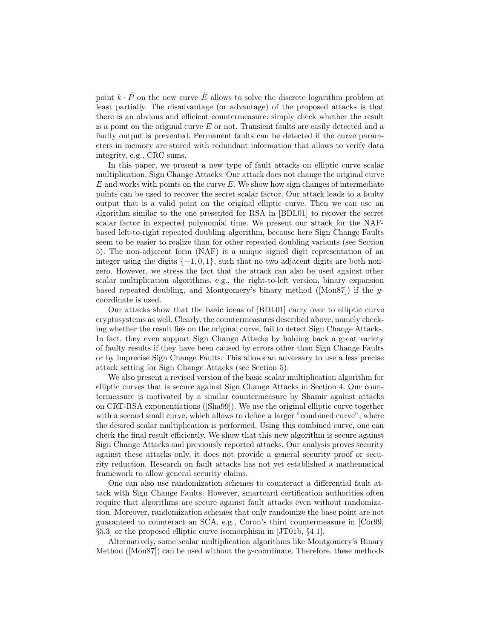point  $k \cdot \tilde{P}$  on the new curve  $\tilde{E}$  allows to solve the discrete logarithm problem at least partially. The disadvantage (or advantage) of the proposed attacks is that there is an obvious and efficient countermeasure: simply check whether the result is a point on the original curve E or not. Transient faults are easily detected and a faulty output is prevented. Permanent faults can be detected if the curve parameters in memory are stored with redundant information that allows to verify data integrity, e.g., CRC sums.

In this paper, we present a new type of fault attacks on elliptic curve scalar multiplication, Sign Change Attacks. Our attack does not change the original curve  $E$  and works with points on the curve  $E$ . We show how sign changes of intermediate points can be used to recover the secret scalar factor. Our attack leads to a faulty output that is a valid point on the original elliptic curve. Then we can use an algorithm similar to the one presented for RSA in [BDL01] to recover the secret scalar factor in expected polynomial time. We present our attack for the NAFbased left-to-right repeated doubling algorithm, because here Sign Change Faults seem to be easier to realize than for other repeated doubling variants (see Section 5). The non-adjacent form (NAF) is a unique signed digit representation of an integer using the digits  $\{-1, 0, 1\}$ , such that no two adjacent digits are both nonzero. However, we stress the fact that the attack can also be used against other scalar multiplication algorithms, e.g., the right-to-left version, binary expansion based repeated doubling, and Montgomery's binary method ([Mon87]) if the ycoordinate is used.

Our attacks show that the basic ideas of [BDL01] carry over to elliptic curve cryptosystems as well. Clearly, the countermeasures described above, namely checking whether the result lies on the original curve, fail to detect Sign Change Attacks. In fact, they even support Sign Change Attacks by holding back a great variety of faulty results if they have been caused by errors other than Sign Change Faults or by imprecise Sign Change Faults. This allows an adversary to use a less precise attack setting for Sign Change Attacks (see Section 5).

We also present a revised version of the basic scalar multiplication algorithm for elliptic curves that is secure against Sign Change Attacks in Section 4. Our countermeasure is motivated by a similar countermeasure by Shamir against attacks on CRT-RSA exponentiations ([Sha99]). We use the original elliptic curve together with a second small curve, which allows to define a larger "combined curve", where the desired scalar multiplication is performed. Using this combined curve, one can check the final result efficiently. We show that this new algorithm is secure against Sign Change Attacks and previously reported attacks. Our analysis proves security against these attacks only, it does not provide a general security proof or security reduction. Research on fault attacks has not yet established a mathematical framework to allow general security claims.

One can also use randomization schemes to counteract a differential fault attack with Sign Change Faults. However, smartcard certification authorities often require that algorithms are secure against fault attacks even without randomization. Moreover, randomization schemes that only randomize the base point are not guaranteed to counteract an SCA, e.g., Coron's third countermeasure in [Cor99, §5.3] or the proposed elliptic curve isomorphism in [JT01b, §4.1].

Alternatively, some scalar multiplication algorithms like Montgomery's Binary Method ( $[Mon87]$ ) can be used without the y-coordinate. Therefore, these methods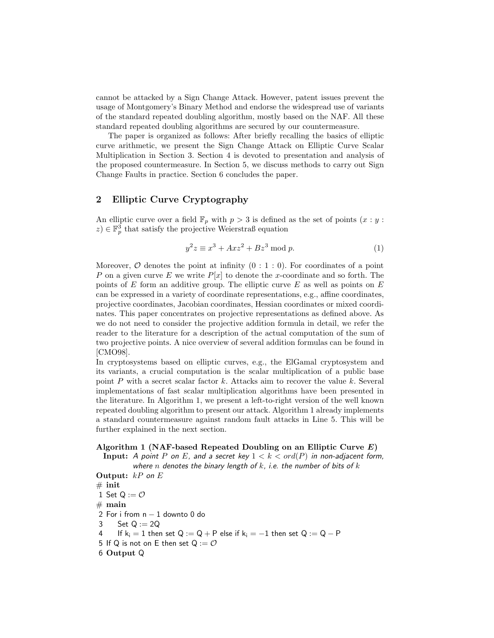cannot be attacked by a Sign Change Attack. However, patent issues prevent the usage of Montgomery's Binary Method and endorse the widespread use of variants of the standard repeated doubling algorithm, mostly based on the NAF. All these standard repeated doubling algorithms are secured by our countermeasure.

The paper is organized as follows: After briefly recalling the basics of elliptic curve arithmetic, we present the Sign Change Attack on Elliptic Curve Scalar Multiplication in Section 3. Section 4 is devoted to presentation and analysis of the proposed countermeasure. In Section 5, we discuss methods to carry out Sign Change Faults in practice. Section 6 concludes the paper.

## 2 Elliptic Curve Cryptography

An elliptic curve over a field  $\mathbb{F}_p$  with  $p > 3$  is defined as the set of points  $(x : y :$  $(z) \in \mathbb{F}_p^3$  that satisfy the projective Weierstraß equation

$$
y^2 z \equiv x^3 + Axz^2 + Bz^3 \mod p. \tag{1}
$$

Moreover,  $\mathcal O$  denotes the point at infinity  $(0:1:0)$ . For coordinates of a point P on a given curve E we write  $P[x]$  to denote the x-coordinate and so forth. The points of  $E$  form an additive group. The elliptic curve  $E$  as well as points on  $E$ can be expressed in a variety of coordinate representations, e.g., affine coordinates, projective coordinates, Jacobian coordinates, Hessian coordinates or mixed coordinates. This paper concentrates on projective representations as defined above. As we do not need to consider the projective addition formula in detail, we refer the reader to the literature for a description of the actual computation of the sum of two projective points. A nice overview of several addition formulas can be found in [CMO98].

In cryptosystems based on elliptic curves, e.g., the ElGamal cryptosystem and its variants, a crucial computation is the scalar multiplication of a public base point  $P$  with a secret scalar factor  $k$ . Attacks aim to recover the value  $k$ . Several implementations of fast scalar multiplication algorithms have been presented in the literature. In Algorithm 1, we present a left-to-right version of the well known repeated doubling algorithm to present our attack. Algorithm 1 already implements a standard countermeasure against random fault attacks in Line 5. This will be further explained in the next section.

## Algorithm 1 (NAF-based Repeated Doubling on an Elliptic Curve  $E$ )

Input: A point P on E, and a secret key  $1 < k < ord(P)$  in non-adjacent form, where n denotes the binary length of  $k$ , i.e. the number of bits of  $k$ 

Output:  $kP$  on  $E$  $#$  init 1 Set  $Q := \mathcal{O}$  $#$  main 2 For i from  $n - 1$  downto 0 do<br>3 Set Q := 2Q Set  $Q := 2Q$ 4 If  $k_i = 1$  then set  $Q := Q + P$  else if  $k_i = -1$  then set  $Q := Q - P$ 5 If Q is not on E then set  $Q := \mathcal{O}$ 6 Output Q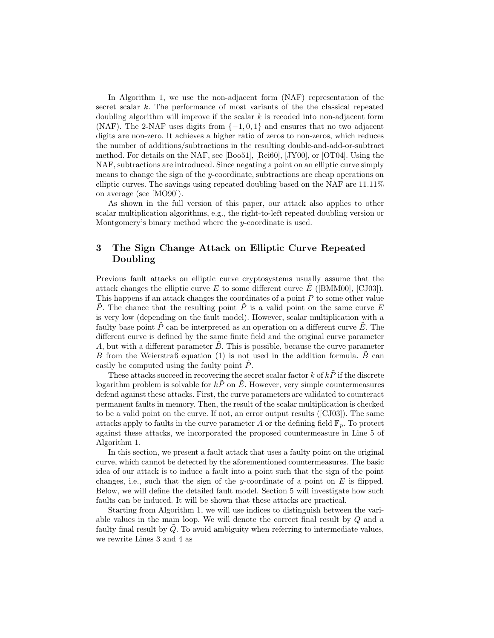In Algorithm 1, we use the non-adjacent form (NAF) representation of the secret scalar k. The performance of most variants of the the classical repeated doubling algorithm will improve if the scalar  $k$  is recoded into non-adjacent form (NAF). The 2-NAF uses digits from  $\{-1,0,1\}$  and ensures that no two adjacent digits are non-zero. It achieves a higher ratio of zeros to non-zeros, which reduces the number of additions/subtractions in the resulting double-and-add-or-subtract method. For details on the NAF, see [Boo51], [Rei60], [JY00], or [OT04]. Using the NAF, subtractions are introduced. Since negating a point on an elliptic curve simply means to change the sign of the y-coordinate, subtractions are cheap operations on elliptic curves. The savings using repeated doubling based on the NAF are 11.11% on average (see [MO90]).

As shown in the full version of this paper, our attack also applies to other scalar multiplication algorithms, e.g., the right-to-left repeated doubling version or Montgomery's binary method where the y-coordinate is used.

## 3 The Sign Change Attack on Elliptic Curve Repeated Doubling

Previous fault attacks on elliptic curve cryptosystems usually assume that the attack changes the elliptic curve E to some different curve E ([BMM00], [CJ03]). This happens if an attack changes the coordinates of a point P to some other value P. The chance that the resulting point P is a valid point on the same curve  $E$ is very low (depending on the fault model). However, scalar multiplication with a faulty base point  $\tilde{P}$  can be interpreted as an operation on a different curve  $\tilde{E}$ . The different curve is defined by the same finite field and the original curve parameter A, but with a different parameter  $B$ . This is possible, because the curve parameter B from the Weierstraß equation (1) is not used in the addition formula.  $\hat{B}$  can easily be computed using the faulty point P.

These attacks succeed in recovering the secret scalar factor  $k$  of  $k\ddot{P}$  if the discrete logarithm problem is solvable for  $k\ddot{P}$  on  $\ddot{E}$ . However, very simple countermeasures defend against these attacks. First, the curve parameters are validated to counteract permanent faults in memory. Then, the result of the scalar multiplication is checked to be a valid point on the curve. If not, an error output results ([CJ03]). The same attacks apply to faults in the curve parameter A or the defining field  $\mathbb{F}_p$ . To protect against these attacks, we incorporated the proposed countermeasure in Line 5 of Algorithm 1.

In this section, we present a fault attack that uses a faulty point on the original curve, which cannot be detected by the aforementioned countermeasures. The basic idea of our attack is to induce a fault into a point such that the sign of the point changes, i.e., such that the sign of the y-coordinate of a point on  $E$  is flipped. Below, we will define the detailed fault model. Section 5 will investigate how such faults can be induced. It will be shown that these attacks are practical.

Starting from Algorithm 1, we will use indices to distinguish between the variable values in the main loop. We will denote the correct final result by Q and a faulty final result by  $Q$ . To avoid ambiguity when referring to intermediate values, we rewrite Lines 3 and 4 as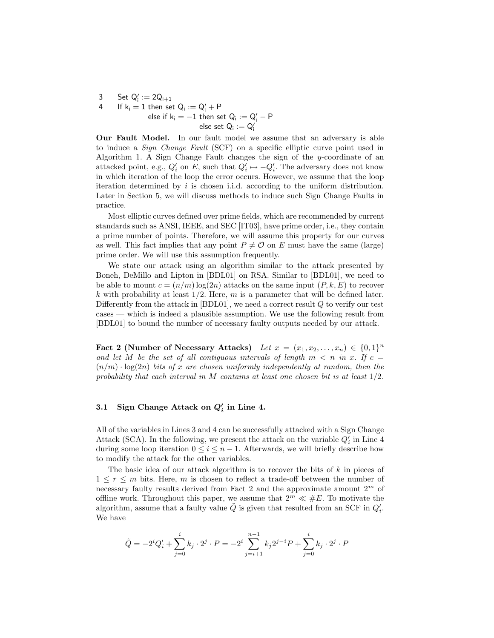3 Set  $Q'_{i} := 2Q_{i+1}$ 4 If  $k_i = 1$  then set  $Q_i := Q'_i + P$ else if k<sub>i</sub> =  $-1$  then set Q<sub>i</sub> := Q'<sub>i</sub> − P  $\sf else \; set \; Q_i := Q'_i$ 

Our Fault Model. In our fault model we assume that an adversary is able to induce a Sign Change Fault (SCF) on a specific elliptic curve point used in Algorithm 1. A Sign Change Fault changes the sign of the y-coordinate of an attacked point, e.g.,  $Q_i'$  on E, such that  $Q_i' \mapsto -Q_i'$ . The adversary does not know in which iteration of the loop the error occurs. However, we assume that the loop iteration determined by  $i$  is chosen i.i.d. according to the uniform distribution. Later in Section 5, we will discuss methods to induce such Sign Change Faults in practice.

Most elliptic curves defined over prime fields, which are recommended by current standards such as ANSI, IEEE, and SEC [IT03], have prime order, i.e., they contain a prime number of points. Therefore, we will assume this property for our curves as well. This fact implies that any point  $P \neq \mathcal{O}$  on E must have the same (large) prime order. We will use this assumption frequently.

We state our attack using an algorithm similar to the attack presented by Boneh, DeMillo and Lipton in [BDL01] on RSA. Similar to [BDL01], we need to be able to mount  $c = (n/m) \log(2n)$  attacks on the same input  $(P, k, E)$  to recover k with probability at least  $1/2$ . Here, m is a parameter that will be defined later. Differently from the attack in  $[BDL01]$ , we need a correct result  $Q$  to verify our test cases — which is indeed a plausible assumption. We use the following result from [BDL01] to bound the number of necessary faulty outputs needed by our attack.

Fact 2 (Number of Necessary Attacks) Let  $x = (x_1, x_2, \ldots, x_n) \in \{0, 1\}^n$ and let M be the set of all contiguous intervals of length  $m < n$  in x. If  $c =$  $(n/m) \cdot \log(2n)$  bits of x are chosen uniformly independently at random, then the probability that each interval in M contains at least one chosen bit is at least  $1/2$ .

## 3.1 Sign Change Attack on  $Q_i'$  in Line 4.

All of the variables in Lines 3 and 4 can be successfully attacked with a Sign Change Attack (SCA). In the following, we present the attack on the variable  $Q_i$  in Line 4 during some loop iteration  $0 \leq i \leq n-1$ . Afterwards, we will briefly describe how to modify the attack for the other variables.

The basic idea of our attack algorithm is to recover the bits of  $k$  in pieces of  $1 \leq r \leq m$  bits. Here, m is chosen to reflect a trade-off between the number of necessary faulty results derived from Fact 2 and the approximate amount  $2^m$  of offline work. Throughout this paper, we assume that  $2^m \ll \#E$ . To motivate the algorithm, assume that a faulty value  $\tilde{Q}$  is given that resulted from an SCF in  $Q_i'$ . We have

$$
\tilde{Q} = -2^{i}Q'_{i} + \sum_{j=0}^{i} k_{j} \cdot 2^{j} \cdot P = -2^{i} \sum_{j=i+1}^{n-1} k_{j} 2^{j-i} P + \sum_{j=0}^{i} k_{j} \cdot 2^{j} \cdot P
$$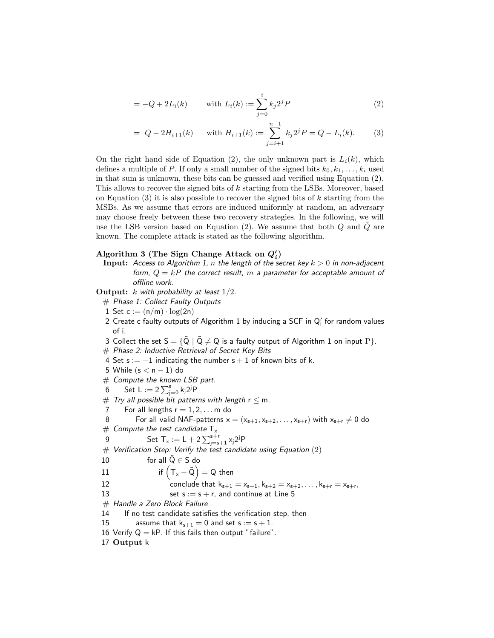$$
= -Q + 2L_i(k) \qquad \text{with } L_i(k) := \sum_{j=0}^{i} k_j 2^j P \tag{2}
$$

$$
= Q - 2H_{i+1}(k) \quad \text{with } H_{i+1}(k) := \sum_{j=i+1}^{n-1} k_j 2^j P = Q - L_i(k). \tag{3}
$$

On the right hand side of Equation (2), the only unknown part is  $L_i(k)$ , which defines a multiple of P. If only a small number of the signed bits  $k_0, k_1, \ldots, k_i$  used in that sum is unknown, these bits can be guessed and verified using Equation (2). This allows to recover the signed bits of k starting from the LSBs. Moreover, based on Equation (3) it is also possible to recover the signed bits of  $k$  starting from the MSBs. As we assume that errors are induced uniformly at random, an adversary may choose freely between these two recovery strategies. In the following, we will use the LSB version based on Equation  $(2)$ . We assume that both  $Q$  and  $Q$  are known. The complete attack is stated as the following algorithm.

## Algorithm 3 (The Sign Change Attack on  $Q_i'$ )

**Input:** Access to Algorithm 1, n the length of the secret key  $k > 0$  in non-adjacent form,  $Q = kP$  the correct result, m a parameter for acceptable amount of offline work.

Output:  $k$  with probability at least  $1/2$ .

- # Phase 1: Collect Faulty Outputs
- 1 Set  $c := (n/m) \cdot log(2n)$
- 2 Create c faulty outputs of Algorithm 1 by inducing a SCF in  $\mathsf{Q}'_{\mathsf{i}}$  for random values of i.
- 3 Collect the set  $S = \{ \tilde{Q} \mid \tilde{Q} \neq Q \}$  is a faulty output of Algorithm 1 on input P $\}.$
- # Phase 2: Inductive Retrieval of Secret Key Bits
- 4 Set s :=  $-1$  indicating the number s + 1 of known bits of k.
- 5 While  $(s < n 1)$  do
- $#$  Compute the known LSB part.
- 6 Set L :=  $2 \sum_{j=0}^{s} k_j 2^{j} P$
- # Try all possible bit patterns with length r  $\leq$  m.<br>7 For all lengths r = 1, 2, , , , m do
- For all lengths  $r = 1, 2, \ldots$  m do
- 8 For all valid NAF-patterns  $x = (x_{s+1}, x_{s+2}, \ldots, x_{s+r})$  with  $x_{s+r} \neq 0$  do  $\#$  Compute the test candidate  $T_x$
- $\#$  Compute the test candidate  $\mathsf{T}_\mathsf{x}$
- 9 Set  $T_x := L + 2 \sum_{j=s+1}^{s+r} x_j 2^{j} P$

 $#$  Verification Step: Verify the test candidate using Equation  $(2)$ 

10 for all  $\tilde{Q} \in S$  do

11 if 
$$
(T_x - \tilde{Q}) = Q
$$
 then

- 12 conclude that  $k_{s+1} = x_{s+1}, k_{s+2} = x_{s+2}, \ldots, k_{s+r} = x_{s+r}$ ,
- 13 set  $s := s + r$ , and continue at Line 5
- # Handle a Zero Block Failure
- 14 If no test candidate satisfies the verification step, then
- 15 assume that  $k_{s+1} = 0$  and set  $s := s + 1$ .
- 16 Verify  $Q = kP$ . If this fails then output "failure".
- 17 Output k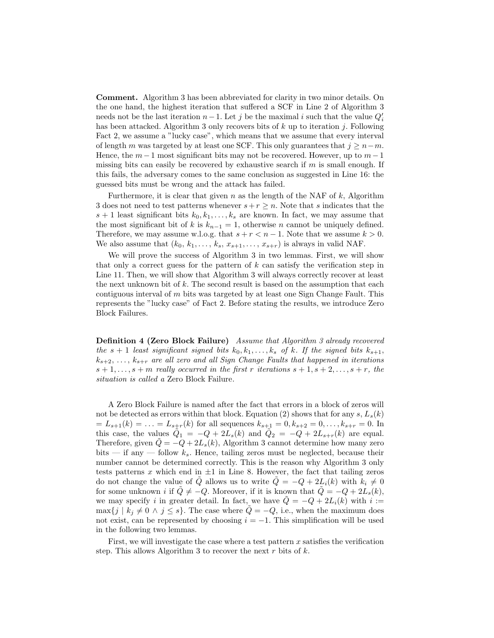Comment. Algorithm 3 has been abbreviated for clarity in two minor details. On the one hand, the highest iteration that suffered a SCF in Line 2 of Algorithm 3 needs not be the last iteration  $n-1$ . Let j be the maximal i such that the value  $Q_i'$ has been attacked. Algorithm 3 only recovers bits of  $k$  up to iteration j. Following Fact 2, we assume a "lucky case", which means that we assume that every interval of length m was targeted by at least one SCF. This only guarantees that  $j \geq n-m$ . Hence, the  $m-1$  most significant bits may not be recovered. However, up to  $m-1$ missing bits can easily be recovered by exhaustive search if  $m$  is small enough. If this fails, the adversary comes to the same conclusion as suggested in Line 16: the guessed bits must be wrong and the attack has failed.

Furthermore, it is clear that given  $n$  as the length of the NAF of  $k$ , Algorithm 3 does not need to test patterns whenever  $s+r \geq n$ . Note that s indicates that the  $s + 1$  least significant bits  $k_0, k_1, \ldots, k_s$  are known. In fact, we may assume that the most significant bit of k is  $k_{n-1} = 1$ , otherwise n cannot be uniquely defined. Therefore, we may assume w.l.o.g. that  $s + r < n - 1$ . Note that we assume  $k > 0$ . We also assume that  $(k_0, k_1, \ldots, k_s, x_{s+1}, \ldots, x_{s+r})$  is always in valid NAF.

We will prove the success of Algorithm 3 in two lemmas. First, we will show that only a correct guess for the pattern of  $k$  can satisfy the verification step in Line 11. Then, we will show that Algorithm 3 will always correctly recover at least the next unknown bit of  $k$ . The second result is based on the assumption that each contiguous interval of  $m$  bits was targeted by at least one Sign Change Fault. This represents the "lucky case" of Fact 2. Before stating the results, we introduce Zero Block Failures.

Definition 4 (Zero Block Failure) Assume that Algorithm 3 already recovered the s + 1 least significant signed bits  $k_0, k_1, \ldots, k_s$  of k. If the signed bits  $k_{s+1}$ ,  $k_{s+2}, \ldots, k_{s+r}$  are all zero and all Sign Change Faults that happened in iterations  $s+1,\ldots,s+m$  really occurred in the first r iterations  $s+1,s+2,\ldots,s+r$ , the situation is called a Zero Block Failure.

A Zero Block Failure is named after the fact that errors in a block of zeros will not be detected as errors within that block. Equation (2) shows that for any s,  $L_s(k)$  $=L_{s+1}(k) = \ldots = L_{s+r}(k)$  for all sequences  $k_{s+1} = 0, k_{s+2} = 0, \ldots, k_{s+r} = 0$ . In this case, the values  $\tilde{Q}_1 = -Q + 2L_s(k)$  and  $\tilde{Q}_2 = -Q + 2L_{s+r}(k)$  are equal. Therefore, given  $\tilde{Q} = -Q + 2L_s(k)$ , Algorithm 3 cannot determine how many zero bits — if any — follow  $k_s$ . Hence, tailing zeros must be neglected, because their number cannot be determined correctly. This is the reason why Algorithm 3 only tests patterns  $x$  which end in  $\pm 1$  in Line 8. However, the fact that tailing zeros do not change the value of Q allows us to write  $Q = -Q + 2L_i(k)$  with  $k_i \neq 0$ for some unknown i if  $\ddot{Q} \neq -Q$ . Moreover, if it is known that  $\ddot{Q} = -Q + 2L_s(k)$ , we may specify i in greater detail. In fact, we have  $\tilde{Q} = -Q + 2L_i(k)$  with  $i :=$  $\max\{j \mid k_j \neq 0 \land j \leq s\}.$  The case where  $\hat{Q} = -Q$ , i.e., when the maximum does not exist, can be represented by choosing  $i = -1$ . This simplification will be used in the following two lemmas.

First, we will investigate the case where a test pattern  $x$  satisfies the verification step. This allows Algorithm 3 to recover the next  $r$  bits of  $k$ .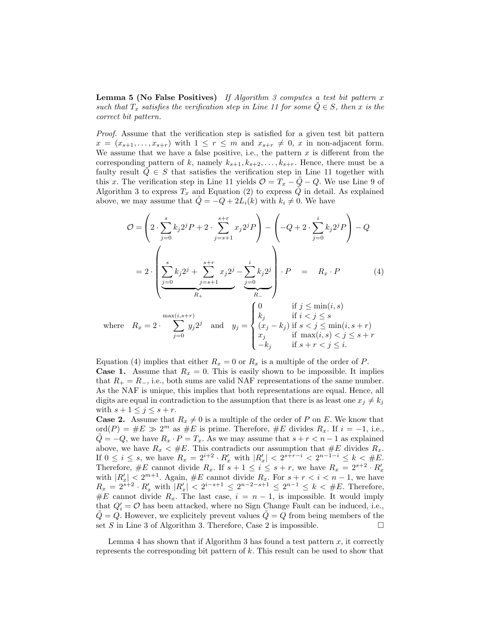**Lemma 5 (No False Positives)** If Algorithm 3 computes a test bit pattern  $x$ such that  $T_x$  satisfies the verification step in Line 11 for some  $Q \in S$ , then x is the correct bit pattern.

Proof. Assume that the verification step is satisfied for a given test bit pattern  $x = (x_{s+1}, \ldots, x_{s+r})$  with  $1 \leq r \leq m$  and  $x_{s+r} \neq 0$ , x in non-adjacent form. We assume that we have a false positive, i.e., the pattern  $x$  is different from the corresponding pattern of k, namely  $k_{s+1}, k_{s+2}, \ldots, k_{s+r}$ . Hence, there must be a faulty result  $\hat{Q} \in S$  that satisfies the verification step in Line 11 together with this x. The verification step in Line 11 yields  $\mathcal{O} = T_x - \tilde{Q} - Q$ . We use Line 9 of Algorithm 3 to express  $T_x$  and Equation (2) to express  $\tilde{Q}$  in detail. As explained above, we may assume that  $Q = -Q + 2L_i(k)$  with  $k_i \neq 0$ . We have

$$
\mathcal{O} = \left(2 \cdot \sum_{j=0}^{s} k_j 2^j P + 2 \cdot \sum_{j=s+1}^{s+r} x_j 2^j P \right) - \left(-Q + 2 \cdot \sum_{j=0}^{i} k_j 2^j P\right) - Q
$$

$$
= 2 \cdot \left(\sum_{j=0}^{s} k_j 2^j + \sum_{j=s+1}^{s+r} x_j 2^j - \sum_{j=0}^{i} k_j 2^j\right) \cdot P = R_x \cdot P \tag{4}
$$

$$
\left(0 \quad \text{if } j < \min(i, s)\right)
$$

where 
$$
R_x = 2 \cdot \sum_{j=0}^{\max(i, s+r)} y_j 2^j
$$
 and 
$$
y_j = \begin{cases} 0 & \text{if } j \le \min(i, s) \\ k_j & \text{if } i < j \le s \\ (x_j - k_j) & \text{if } s < j \le \min(i, s+r) \\ x_j & \text{if } \max(i, s) < j \le s+r \\ -k_j & \text{if } s+r < j \le i. \end{cases}
$$

Equation (4) implies that either  $R_x = 0$  or  $R_x$  is a multiple of the order of P. **Case 1.** Assume that  $R_x = 0$ . This is easily shown to be impossible. It implies that  $R_+ = R_-$ , i.e., both sums are valid NAF representations of the same number. As the NAF is unique, this implies that both representations are equal. Hence, all digits are equal in contradiction to the assumption that there is as least one  $x_j \neq k_j$ with  $s + 1 \leq j \leq s + r$ .

**Case 2.** Assume that  $R_x \neq 0$  is a multiple of the order of P on E. We know that  $\operatorname{ord}(P) = \#E \gg 2^m$  as  $\#E$  is prime. Therefore,  $\#E$  divides  $R_x$ . If  $i = -1$ , i.e.,  $\tilde{Q} = -Q$ , we have  $R_x \cdot P = T_x$ . As we may assume that  $s + r < n - 1$  as explained above, we have  $R_x < \#E$ . This contradicts our assumption that  $\#E$  divides  $R_x$ . If  $0 \le i \le s$ , we have  $R_x = 2^{i+2} \cdot R'_x$  with  $|R'_x| < 2^{s+r-i} < 2^{n-1-i} \le k < \#E$ . Therefore,  $\#E$  cannot divide  $R_x$ . If  $s + 1 \leq i \leq s + r$ , we have  $R_x = 2^{s+2} \cdot R'_x$ with  $|R'_x| < 2^{m+1}$ . Again,  $\#E$  cannot divide  $R_x$ . For  $s + r < i < n-1$ , we have  $R_x = 2^{s+2} \cdot R'_x$  with  $|R'_x| < 2^{i-s+1} \leq 2^{n-2-s+1} \leq 2^{n-1} \leq k < \#E$ . Therefore, #E cannot divide  $R_x$ . The last case,  $i = n - 1$ , is impossible. It would imply that  $Q_i' = \mathcal{O}$  has been attacked, where no Sign Change Fault can be induced, i.e.,  $Q = Q$ . However, we explicitely prevent values  $Q = Q$  from being members of the set S in Line 3 of Algorithm 3. Therefore, Case 2 is impossible.

Lemma 4 has shown that if Algorithm 3 has found a test pattern  $x$ , it correctly represents the corresponding bit pattern of  $k$ . This result can be used to show that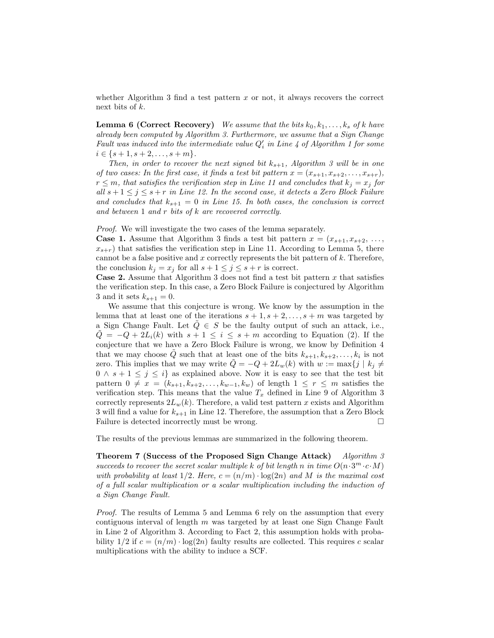whether Algorithm 3 find a test pattern  $x$  or not, it always recovers the correct next bits of k.

**Lemma 6 (Correct Recovery)** We assume that the bits  $k_0, k_1, \ldots, k_s$  of k have already been computed by Algorithm 3. Furthermore, we assume that a Sign Change Fault was induced into the intermediate value  $Q_i'$  in Line 4 of Algorithm 1 for some  $i \in \{s+1, s+2, \ldots, s+m\}.$ 

Then, in order to recover the next signed bit  $k_{s+1}$ , Algorithm 3 will be in one of two cases: In the first case, it finds a test bit pattern  $x = (x_{s+1}, x_{s+2}, \ldots, x_{s+r})$ ,  $r \leq m$ , that satisfies the verification step in Line 11 and concludes that  $k_j = x_j$  for all  $s + 1 \leq j \leq s + r$  in Line 12. In the second case, it detects a Zero Block Failure and concludes that  $k_{s+1} = 0$  in Line 15. In both cases, the conclusion is correct and between  $1$  and  $r$  bits of  $k$  are recovered correctly.

Proof. We will investigate the two cases of the lemma separately.

**Case 1.** Assume that Algorithm 3 finds a test bit pattern  $x = (x_{s+1}, x_{s+2}, \ldots, x_{s+2})$  $x_{s+r}$ ) that satisfies the verification step in Line 11. According to Lemma 5, there cannot be a false positive and  $x$  correctly represents the bit pattern of  $k$ . Therefore, the conclusion  $k_j = x_j$  for all  $s + 1 \leq j \leq s + r$  is correct.

**Case 2.** Assume that Algorithm 3 does not find a test bit pattern  $x$  that satisfies the verification step. In this case, a Zero Block Failure is conjectured by Algorithm 3 and it sets  $k_{s+1} = 0$ .

We assume that this conjecture is wrong. We know by the assumption in the lemma that at least one of the iterations  $s + 1, s + 2, \ldots, s + m$  was targeted by a Sign Change Fault. Let  $Q \in S$  be the faulty output of such an attack, i.e.,  $Q = -Q + 2L_i(k)$  with  $s + 1 \leq i \leq s + m$  according to Equation (2). If the conjecture that we have a Zero Block Failure is wrong, we know by Definition 4 that we may choose  $\tilde{Q}$  such that at least one of the bits  $k_{s+1}, k_{s+2}, \ldots, k_i$  is not zero. This implies that we may write  $\tilde{Q} = -Q + 2L_w(k)$  with  $w := \max\{j \mid k_j \neq j\}$  $0 \wedge s + 1 \leq j \leq i$  as explained above. Now it is easy to see that the test bit pattern  $0 \neq x = (k_{s+1}, k_{s+2}, \ldots, k_{w-1}, k_w)$  of length  $1 \leq r \leq m$  satisfies the verification step. This means that the value  $T_x$  defined in Line 9 of Algorithm 3 correctly represents  $2L_w(k)$ . Therefore, a valid test pattern x exists and Algorithm 3 will find a value for  $k_{s+1}$  in Line 12. Therefore, the assumption that a Zero Block Failure is detected incorrectly must be wrong.  $\Box$ 

The results of the previous lemmas are summarized in the following theorem.

Theorem 7 (Success of the Proposed Sign Change Attack) Algorithm 3 succeeds to recover the secret scalar multiple k of bit length n in time  $O(n \cdot 3^m \cdot c \cdot M)$ with probability at least  $1/2$ . Here,  $c = (n/m) \cdot \log(2n)$  and M is the maximal cost of a full scalar multiplication or a scalar multiplication including the induction of a Sign Change Fault.

Proof. The results of Lemma 5 and Lemma 6 rely on the assumption that every contiguous interval of length  $m$  was targeted by at least one Sign Change Fault in Line 2 of Algorithm 3. According to Fact 2, this assumption holds with probability  $1/2$  if  $c = (n/m) \cdot \log(2n)$  faulty results are collected. This requires c scalar multiplications with the ability to induce a SCF.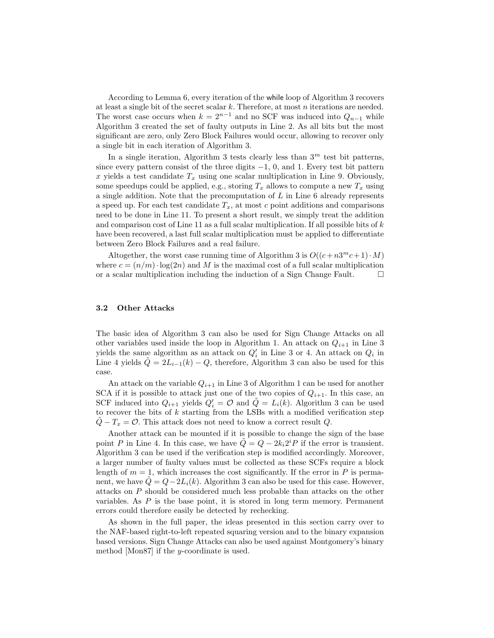According to Lemma 6, every iteration of the while loop of Algorithm 3 recovers at least a single bit of the secret scalar  $k$ . Therefore, at most  $n$  iterations are needed. The worst case occurs when  $k = 2^{n-1}$  and no SCF was induced into  $Q_{n-1}$  while Algorithm 3 created the set of faulty outputs in Line 2. As all bits but the most significant are zero, only Zero Block Failures would occur, allowing to recover only a single bit in each iteration of Algorithm 3.

In a single iteration, Algorithm 3 tests clearly less than  $3<sup>m</sup>$  test bit patterns, since every pattern consist of the three digits  $-1$ , 0, and 1. Every test bit pattern x yields a test candidate  $T_x$  using one scalar multiplication in Line 9. Obviously, some speedups could be applied, e.g., storing  $T_x$  allows to compute a new  $T_x$  using a single addition. Note that the precomputation of L in Line 6 already represents a speed up. For each test candidate  $T_x$ , at most c point additions and comparisons need to be done in Line 11. To present a short result, we simply treat the addition and comparison cost of Line 11 as a full scalar multiplication. If all possible bits of  $k$ have been recovered, a last full scalar multiplication must be applied to differentiate between Zero Block Failures and a real failure.

Altogether, the worst case running time of Algorithm 3 is  $O((c + n3^m c + 1) \cdot M)$ where  $c = (n/m) \cdot \log(2n)$  and M is the maximal cost of a full scalar multiplication or a scalar multiplication including the induction of a Sign Change Fault. or a scalar multiplication including the induction of a Sign Change Fault.

#### 3.2 Other Attacks

The basic idea of Algorithm 3 can also be used for Sign Change Attacks on all other variables used inside the loop in Algorithm 1. An attack on  $Q_{i+1}$  in Line 3 yields the same algorithm as an attack on  $Q_i'$  in Line 3 or 4. An attack on  $Q_i$  in Line 4 yields  $\tilde{Q} = 2L_{i-1}(k) - Q$ , therefore, Algorithm 3 can also be used for this case.

An attack on the variable  $Q_{i+1}$  in Line 3 of Algorithm 1 can be used for another SCA if it is possible to attack just one of the two copies of  $Q_{i+1}$ . In this case, an SCF induced into  $Q_{i+1}$  yields  $Q_i' = \mathcal{O}$  and  $\tilde{Q} = L_i(k)$ . Algorithm 3 can be used to recover the bits of  $k$  starting from the LSBs with a modified verification step  $Q - T_x = \mathcal{O}$ . This attack does not need to know a correct result Q.

Another attack can be mounted if it is possible to change the sign of the base point P in Line 4. In this case, we have  $\tilde{Q} = Q - 2k_i 2^i P$  if the error is transient. Algorithm 3 can be used if the verification step is modified accordingly. Moreover, a larger number of faulty values must be collected as these SCFs require a block length of  $m = 1$ , which increases the cost significantly. If the error in P is permanent, we have  $Q = Q - 2L_i(k)$ . Algorithm 3 can also be used for this case. However, attacks on P should be considered much less probable than attacks on the other variables. As P is the base point, it is stored in long term memory. Permanent errors could therefore easily be detected by rechecking.

As shown in the full paper, the ideas presented in this section carry over to the NAF-based right-to-left repeated squaring version and to the binary expansion based versions. Sign Change Attacks can also be used against Montgomery's binary method [Mon87] if the  $y$ -coordinate is used.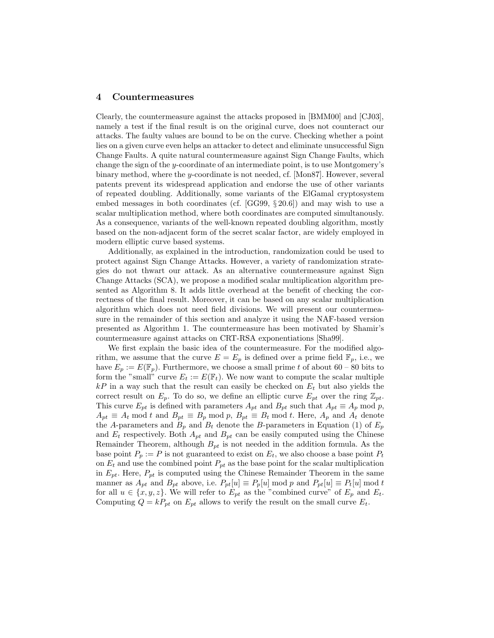#### 4 Countermeasures

Clearly, the countermeasure against the attacks proposed in [BMM00] and [CJ03], namely a test if the final result is on the original curve, does not counteract our attacks. The faulty values are bound to be on the curve. Checking whether a point lies on a given curve even helps an attacker to detect and eliminate unsuccessful Sign Change Faults. A quite natural countermeasure against Sign Change Faults, which change the sign of the y-coordinate of an intermediate point, is to use Montgomery's binary method, where the y-coordinate is not needed, cf. [Mon87]. However, several patents prevent its widespread application and endorse the use of other variants of repeated doubling. Additionally, some variants of the ElGamal cryptosystem embed messages in both coordinates (cf. [GG99, § 20.6]) and may wish to use a scalar multiplication method, where both coordinates are computed simultanously. As a consequence, variants of the well-known repeated doubling algorithm, mostly based on the non-adjacent form of the secret scalar factor, are widely employed in modern elliptic curve based systems.

Additionally, as explained in the introduction, randomization could be used to protect against Sign Change Attacks. However, a variety of randomization strategies do not thwart our attack. As an alternative countermeasure against Sign Change Attacks (SCA), we propose a modified scalar multiplication algorithm presented as Algorithm 8. It adds little overhead at the benefit of checking the correctness of the final result. Moreover, it can be based on any scalar multiplication algorithm which does not need field divisions. We will present our countermeasure in the remainder of this section and analyze it using the NAF-based version presented as Algorithm 1. The countermeasure has been motivated by Shamir's countermeasure against attacks on CRT-RSA exponentiations [Sha99].

We first explain the basic idea of the countermeasure. For the modified algorithm, we assume that the curve  $E = E_p$  is defined over a prime field  $\mathbb{F}_p$ , i.e., we have  $E_p := E(\mathbb{F}_p)$ . Furthermore, we choose a small prime t of about 60 – 80 bits to form the "small" curve  $E_t := E(\mathbb{F}_t)$ . We now want to compute the scalar multiple  $kP$  in a way such that the result can easily be checked on  $E_t$  but also yields the correct result on  $E_p$ . To do so, we define an elliptic curve  $E_{pt}$  over the ring  $\mathbb{Z}_{pt}$ . This curve  $E_{pt}$  is defined with parameters  $A_{pt}$  and  $B_{pt}$  such that  $A_{pt} \equiv A_p \mod p$ ,  $A_{pt} \equiv A_t \mod t$  and  $B_{pt} \equiv B_p \mod p$ ,  $B_{pt} \equiv B_t \mod t$ . Here,  $A_p$  and  $A_t$  denote the A-parameters and  $B_p$  and  $B_t$  denote the B-parameters in Equation (1) of  $E_p$ and  $E_t$  respectively. Both  $A_{pt}$  and  $B_{pt}$  can be easily computed using the Chinese Remainder Theorem, although  $B_{pt}$  is not needed in the addition formula. As the base point  $P_p := P$  is not guaranteed to exist on  $E_t$ , we also choose a base point  $P_t$ on  $E_t$  and use the combined point  $P_{pt}$  as the base point for the scalar multiplication in  $E_{pt}$ . Here,  $P_{pt}$  is computed using the Chinese Remainder Theorem in the same manner as  $A_{pt}$  and  $B_{pt}$  above, i.e.  $P_{pt}[u] \equiv P_{p}[u] \mod p$  and  $P_{pt}[u] \equiv P_{t}[u] \mod t$ for all  $u \in \{x, y, z\}$ . We will refer to  $E_{pt}$  as the "combined curve" of  $E_p$  and  $E_t$ . Computing  $Q = kP_{pt}$  on  $E_{pt}$  allows to verify the result on the small curve  $E_t$ .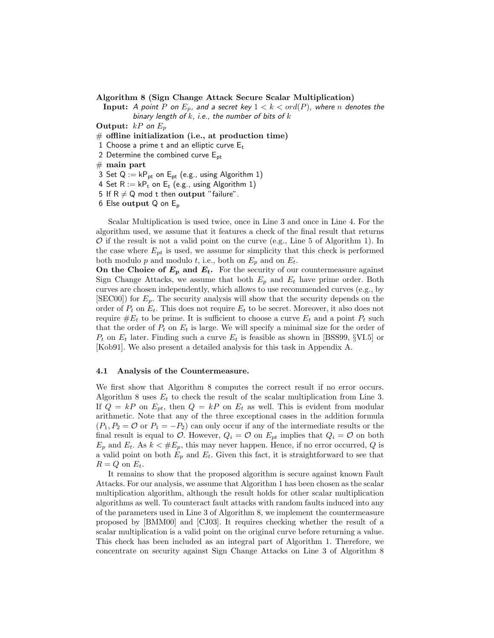Algorithm 8 (Sign Change Attack Secure Scalar Multiplication)

**Input:** A point P on  $E_p$ , and a secret key  $1 < k < ord(P)$ , where n denotes the binary length of  $k$ , i.e., the number of bits of  $k$ 

**Output:**  $kP$  on  $E_p$ 

 $#$  offline initialization (i.e., at production time)

1 Choose a prime t and an elliptic curve  $E_t$ 

2 Determine the combined curve  $E_{pt}$ 

 $#$  main part

3 Set  $Q := kP_{pt}$  on  $E_{pt}$  (e.g., using Algorithm 1)

4 Set  $R := kP_t$  on  $E_t$  (e.g., using Algorithm 1)

5 If  $R \neq Q$  mod t then output "failure".

6 Else output Q on E<sup>p</sup>

Scalar Multiplication is used twice, once in Line 3 and once in Line 4. For the algorithm used, we assume that it features a check of the final result that returns  $\mathcal O$  if the result is not a valid point on the curve (e.g., Line 5 of Algorithm 1). In the case where  $E_{pt}$  is used, we assume for simplicity that this check is performed both modulo p and modulo t, i.e., both on  $E_p$  and on  $E_t$ .

On the Choice of  $E_p$  and  $E_t$ . For the security of our countermeasure against Sign Change Attacks, we assume that both  $E_p$  and  $E_t$  have prime order. Both curves are chosen independently, which allows to use recommended curves (e.g., by  $[\text{SEC00}]$  for  $E_p$ . The security analysis will show that the security depends on the order of  $P_t$  on  $E_t$ . This does not require  $E_t$  to be secret. Moreover, it also does not require  $\#E_t$  to be prime. It is sufficient to choose a curve  $E_t$  and a point  $P_t$  such that the order of  $P_t$  on  $E_t$  is large. We will specify a minimal size for the order of  $P_t$  on  $E_t$  later. Finding such a curve  $E_t$  is feasible as shown in [BSS99, §VI.5] or [Kob91]. We also present a detailed analysis for this task in Appendix A.

#### 4.1 Analysis of the Countermeasure.

We first show that Algorithm 8 computes the correct result if no error occurs. Algorithm 8 uses  $E_t$  to check the result of the scalar multiplication from Line 3. If  $Q = kP$  on  $E_{pt}$ , then  $Q = kP$  on  $E_t$  as well. This is evident from modular arithmetic. Note that any of the three exceptional cases in the addition formula  $(P_1, P_2 = \mathcal{O}$  or  $P_1 = -P_2$ ) can only occur if any of the intermediate results or the final result is equal to  $O$ . However,  $Q_i = O$  on  $E_{pt}$  implies that  $Q_i = O$  on both  $E_p$  and  $E_t$ . As  $k < \#E_p$ , this may never happen. Hence, if no error occurred, Q is a valid point on both  $E_p$  and  $E_t$ . Given this fact, it is straightforward to see that  $R = Q$  on  $E_t$ .

It remains to show that the proposed algorithm is secure against known Fault Attacks. For our analysis, we assume that Algorithm 1 has been chosen as the scalar multiplication algorithm, although the result holds for other scalar multiplication algorithms as well. To counteract fault attacks with random faults induced into any of the parameters used in Line 3 of Algorithm 8, we implement the countermeasure proposed by [BMM00] and [CJ03]. It requires checking whether the result of a scalar multiplication is a valid point on the original curve before returning a value. This check has been included as an integral part of Algorithm 1. Therefore, we concentrate on security against Sign Change Attacks on Line 3 of Algorithm 8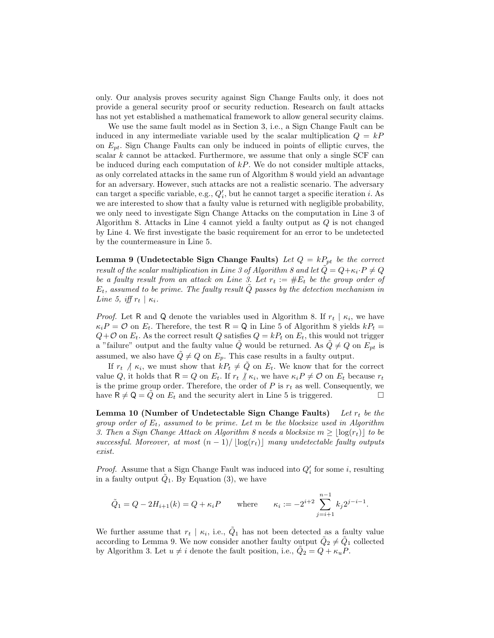only. Our analysis proves security against Sign Change Faults only, it does not provide a general security proof or security reduction. Research on fault attacks has not yet established a mathematical framework to allow general security claims.

We use the same fault model as in Section 3, i.e., a Sign Change Fault can be induced in any intermediate variable used by the scalar multiplication  $Q = kP$ on  $E_{pt}$ . Sign Change Faults can only be induced in points of elliptic curves, the scalar  $k$  cannot be attacked. Furthermore, we assume that only a single SCF can be induced during each computation of  $kP$ . We do not consider multiple attacks, as only correlated attacks in the same run of Algorithm 8 would yield an advantage for an adversary. However, such attacks are not a realistic scenario. The adversary can target a specific variable, e.g.,  $Q'_i$ , but he cannot target a specific iteration *i*. As we are interested to show that a faulty value is returned with negligible probability, we only need to investigate Sign Change Attacks on the computation in Line 3 of Algorithm 8. Attacks in Line 4 cannot yield a faulty output as Q is not changed by Line 4. We first investigate the basic requirement for an error to be undetected by the countermeasure in Line 5.

**Lemma 9 (Undetectable Sign Change Faults)** Let  $Q = kP_{pt}$  be the correct result of the scalar multiplication in Line 3 of Algorithm 8 and let  $\tilde{Q} = Q + \kappa_i \cdot P \neq Q$ be a faulty result from an attack on Line 3. Let  $r_t := \#E_t$  be the group order of  $E_t$ , assumed to be prime. The faulty result  $\dot{Q}$  passes by the detection mechanism in Line 5, iff  $r_t | \kappa_i$ .

*Proof.* Let R and Q denote the variables used in Algorithm 8. If  $r_t | \kappa_i$ , we have  $\kappa_i P = \mathcal{O}$  on  $E_t$ . Therefore, the test  $\mathsf{R} = \mathsf{Q}$  in Line 5 of Algorithm 8 yields  $kP_t =$  $Q + \mathcal{O}$  on  $E_t$ . As the correct result  $Q$  satisfies  $Q = kP_t$  on  $E_t$ , this would not trigger a "failure" output and the faulty value  $\tilde{Q}$  would be returned. As  $\tilde{Q} \neq Q$  on  $E_{pt}$  is assumed, we also have  $\tilde{Q} \neq Q$  on  $E_p$ . This case results in a faulty output.

If  $r_t$   $\land$   $\kappa_i$ , we must show that  $kP_t \neq \tilde{Q}$  on  $E_t$ . We know that for the correct value Q, it holds that  $\mathsf{R} = Q$  on  $E_t$ . If  $r_t \nmid \kappa_i$ , we have  $\kappa_i P \neq \emptyset$  on  $E_t$  because  $r_t$ is the prime group order. Therefore, the order of  $P$  is  $r_t$  as well. Consequently, we have  $R \neq Q = Q$  on  $E_t$  and the security alert in Line 5 is triggered.

Lemma 10 (Number of Undetectable Sign Change Faults) Let  $r_t$  be the group order of  $E_t$ , assumed to be prime. Let m be the blocksize used in Algorithm 3. Then a Sign Change Attack on Algorithm 8 needs a blocksize  $m \geq |\log(r_t)|$  to be successful. Moreover, at most  $(n-1)/|\log(r_t)|$  many undetectable faulty outputs exist.

*Proof.* Assume that a Sign Change Fault was induced into  $Q_i'$  for some i, resulting in a faulty output  $\tilde{Q}_1$ . By Equation (3), we have

$$
\tilde{Q}_1 = Q - 2H_{i+1}(k) = Q + \kappa_i P \quad \text{where} \quad \kappa_i := -2^{i+2} \sum_{j=i+1}^{n-1} k_j 2^{j-i-1}.
$$

We further assume that  $r_t | \kappa_i$ , i.e.,  $\tilde{Q}_1$  has not been detected as a faulty value according to Lemma 9. We now consider another faulty output  $\tilde{Q}_2 \neq \tilde{Q}_1$  collected by Algorithm 3. Let  $u \neq i$  denote the fault position, i.e.,  $\tilde{Q}_2 = Q + \kappa_u P$ .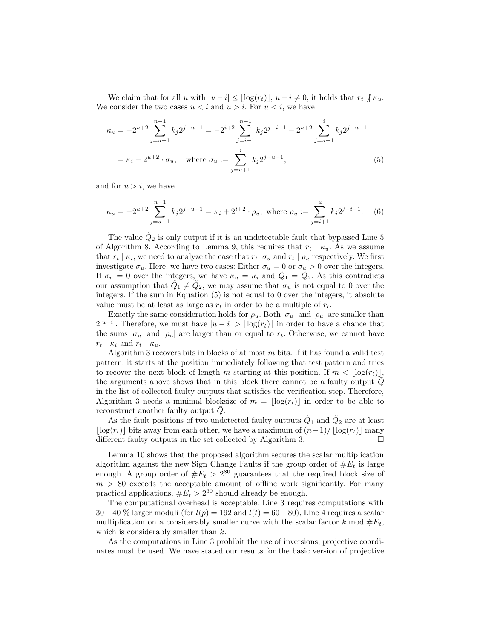We claim that for all u with  $|u - i| \leq \lfloor \log(r_t) \rfloor, u - i \neq 0$ , it holds that  $r_t \nmid \kappa_u$ . We consider the two cases  $u < i$  and  $u > i$ . For  $u < i$ , we have

$$
\kappa_u = -2^{u+2} \sum_{j=u+1}^{n-1} k_j 2^{j-u-1} = -2^{i+2} \sum_{j=i+1}^{n-1} k_j 2^{j-i-1} - 2^{u+2} \sum_{j=u+1}^i k_j 2^{j-u-1}
$$
  
=  $\kappa_i - 2^{u+2} \cdot \sigma_u$ , where  $\sigma_u := \sum_{j=u+1}^i k_j 2^{j-u-1}$ , (5)

and for  $u > i$ , we have

$$
\kappa_u = -2^{u+2} \sum_{j=u+1}^{n-1} k_j 2^{j-u-1} = \kappa_i + 2^{i+2} \cdot \rho_u, \text{ where } \rho_u := \sum_{j=i+1}^u k_j 2^{j-i-1}.
$$
 (6)

The value  $\tilde{Q}_2$  is only output if it is an undetectable fault that bypassed Line 5 of Algorithm 8. According to Lemma 9, this requires that  $r_t | \kappa_u$ . As we assume that  $r_t | \kappa_i$ , we need to analyze the case that  $r_t | \sigma_u$  and  $r_t | \rho_u$  respectively. We first investigate  $\sigma_u$ . Here, we have two cases: Either  $\sigma_u = 0$  or  $\sigma_u > 0$  over the integers. If  $\sigma_u = 0$  over the integers, we have  $\kappa_u = \kappa_i$  and  $\tilde{Q}_1 = \tilde{Q}_2$ . As this contradicts our assumption that  $\tilde{Q}_1 \neq \tilde{Q}_2$ , we may assume that  $\sigma_u$  is not equal to 0 over the integers. If the sum in Equation (5) is not equal to 0 over the integers, it absolute value must be at least as large as  $r_t$  in order to be a multiple of  $r_t$ .

Exactly the same consideration holds for  $\rho_u$ . Both  $|\sigma_u|$  and  $|\rho_u|$  are smaller than  $2^{|u-i|}$ . Therefore, we must have  $|u-i| > \lfloor \log(r_t) \rfloor$  in order to have a chance that the sums  $|\sigma_u|$  and  $|\rho_u|$  are larger than or equal to  $r_t$ . Otherwise, we cannot have  $r_t | \kappa_i$  and  $r_t | \kappa_u$ .

Algorithm 3 recovers bits in blocks of at most  $m$  bits. If it has found a valid test pattern, it starts at the position immediately following that test pattern and tries to recover the next block of length m starting at this position. If  $m < |\log(r_t)|$ , the arguments above shows that in this block there cannot be a faulty output  $\dot{Q}$ in the list of collected faulty outputs that satisfies the verification step. Therefore, Algorithm 3 needs a minimal blocksize of  $m = \lfloor \log(r_t) \rfloor$  in order to be able to reconstruct another faulty output  $\ddot{Q}$ .

As the fault positions of two undetected faulty outputs  $\tilde{Q}_1$  and  $\tilde{Q}_2$  are at least  $\lfloor \log(r_t) \rfloor$  bits away from each other, we have a maximum of  $(n-1)/ \lfloor \log(r_t) \rfloor$  many different faulty outputs in the set collected by Algorithm 3. different faulty outputs in the set collected by Algorithm 3.

Lemma 10 shows that the proposed algorithm secures the scalar multiplication algorithm against the new Sign Change Faults if the group order of  $#E_t$  is large enough. A group order of  $#E_t > 2^{80}$  guarantees that the required block size of  $m > 80$  exceeds the acceptable amount of offline work significantly. For many practical applications,  $#E_t > 2^{60}$  should already be enough.

The computational overhead is acceptable. Line 3 requires computations with  $30 - 40\%$  larger moduli (for  $l(p) = 192$  and  $l(t) = 60 - 80$ ), Line 4 requires a scalar multiplication on a considerably smaller curve with the scalar factor k mod  $#E_t$ , which is considerably smaller than  $k$ .

As the computations in Line 3 prohibit the use of inversions, projective coordinates must be used. We have stated our results for the basic version of projective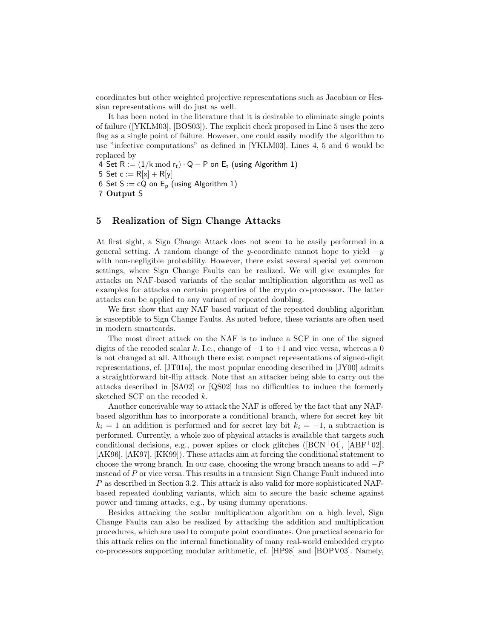coordinates but other weighted projective representations such as Jacobian or Hessian representations will do just as well.

It has been noted in the literature that it is desirable to eliminate single points of failure ([YKLM03], [BOS03]). The explicit check proposed in Line 5 uses the zero flag as a single point of failure. However, one could easily modify the algorithm to use "infective computations" as defined in [YKLM03]. Lines 4, 5 and 6 would be replaced by

4 Set  $R := (1/k \mod r_t) \cdot Q - P$  on  $E_t$  (using Algorithm 1) 5 Set  $c := R[x] + R[y]$ 6 Set  $S := cQ$  on  $E_p$  (using Algorithm 1) 7 Output S

## 5 Realization of Sign Change Attacks

At first sight, a Sign Change Attack does not seem to be easily performed in a general setting. A random change of the y-coordinate cannot hope to yield  $-y$ with non-negligible probability. However, there exist several special yet common settings, where Sign Change Faults can be realized. We will give examples for attacks on NAF-based variants of the scalar multiplication algorithm as well as examples for attacks on certain properties of the crypto co-processor. The latter attacks can be applied to any variant of repeated doubling.

We first show that any NAF based variant of the repeated doubling algorithm is susceptible to Sign Change Faults. As noted before, these variants are often used in modern smartcards.

The most direct attack on the NAF is to induce a SCF in one of the signed digits of the recoded scalar k. I.e., change of  $-1$  to  $+1$  and vice versa, whereas a 0 is not changed at all. Although there exist compact representations of signed-digit representations, cf. [JT01a], the most popular encoding described in [JY00] admits a straightforward bit-flip attack. Note that an attacker being able to carry out the attacks described in [SA02] or [QS02] has no difficulties to induce the formerly sketched SCF on the recoded  $k$ .

Another conceivable way to attack the NAF is offered by the fact that any NAFbased algorithm has to incorporate a conditional branch, where for secret key bit  $k_i = 1$  an addition is performed and for secret key bit  $k_i = -1$ , a subtraction is performed. Currently, a whole zoo of physical attacks is available that targets such conditional decisions, e.g., power spikes or clock glitches ( $[BCN^+04]$ ,  $[ABF^+02]$ , [AK96], [AK97], [KK99]). These attacks aim at forcing the conditional statement to choose the wrong branch. In our case, choosing the wrong branch means to add  $-P$ instead of P or vice versa. This results in a transient Sign Change Fault induced into P as described in Section 3.2. This attack is also valid for more sophisticated NAFbased repeated doubling variants, which aim to secure the basic scheme against power and timing attacks, e.g., by using dummy operations.

Besides attacking the scalar multiplication algorithm on a high level, Sign Change Faults can also be realized by attacking the addition and multiplication procedures, which are used to compute point coordinates. One practical scenario for this attack relies on the internal functionality of many real-world embedded crypto co-processors supporting modular arithmetic, cf. [HP98] and [BOPV03]. Namely,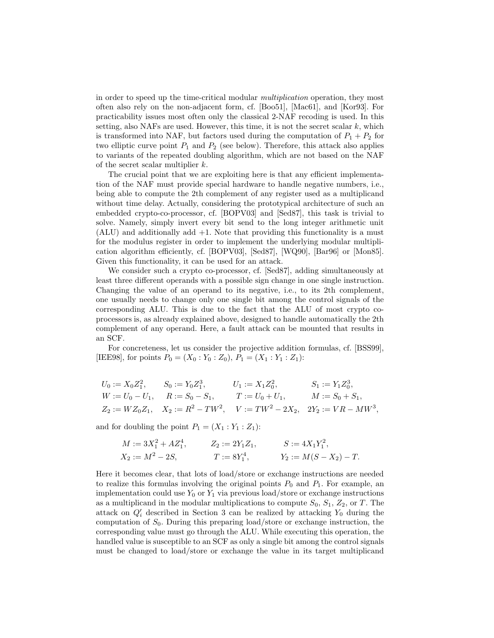in order to speed up the time-critical modular multiplication operation, they most often also rely on the non-adjacent form, cf. [Boo51], [Mac61], and [Kor93]. For practicability issues most often only the classical 2-NAF recoding is used. In this setting, also NAFs are used. However, this time, it is not the secret scalar  $k$ , which is transformed into NAF, but factors used during the computation of  $P_1 + P_2$  for two elliptic curve point  $P_1$  and  $P_2$  (see below). Therefore, this attack also applies to variants of the repeated doubling algorithm, which are not based on the NAF of the secret scalar multiplier  $k$ .

The crucial point that we are exploiting here is that any efficient implementation of the NAF must provide special hardware to handle negative numbers, i.e., being able to compute the 2th complement of any register used as a multiplicand without time delay. Actually, considering the prototypical architecture of such an embedded crypto-co-processor, cf. [BOPV03] and [Sed87], this task is trivial to solve. Namely, simply invert every bit send to the long integer arithmetic unit (ALU) and additionally add +1. Note that providing this functionality is a must for the modulus register in order to implement the underlying modular multiplication algorithm efficiently, cf. [BOPV03], [Sed87], [WQ90], [Bar96] or [Mon85]. Given this functionality, it can be used for an attack.

We consider such a crypto co-processor, cf. [Sed87], adding simultaneously at least three different operands with a possible sign change in one single instruction. Changing the value of an operand to its negative, i.e., to its 2th complement, one usually needs to change only one single bit among the control signals of the corresponding ALU. This is due to the fact that the ALU of most crypto coprocessors is, as already explained above, designed to handle automatically the 2th complement of any operand. Here, a fault attack can be mounted that results in an SCF.

For concreteness, let us consider the projective addition formulas, cf. [BSS99], [IEE98], for points  $P_0 = (X_0 : Y_0 : Z_0)$ ,  $P_1 = (X_1 : Y_1 : Z_1)$ :

$$
U_0 := X_0 Z_1^2, \t S_0 := Y_0 Z_1^3, \t U_1 := X_1 Z_0^2, \t S_1 := Y_1 Z_0^3,
$$
  
\n
$$
W := U_0 - U_1, \t R := S_0 - S_1, \t T := U_0 + U_1, \t M := S_0 + S_1,
$$
  
\n
$$
Z_2 := W Z_0 Z_1, \t X_2 := R^2 - T W^2, \t V := T W^2 - 2X_2, \t 2Y_2 := VR - MW^3,
$$

and for doubling the point  $P_1 = (X_1 : Y_1 : Z_1)$ :

$$
M := 3X_1^2 + AZ_1^4, \t Z_2 := 2Y_1Z_1, \t S := 4X_1Y_1^2,
$$
  
\n
$$
X_2 := M^2 - 2S, \t T := 8Y_1^4, \t Y_2 := M(S - X_2) - T.
$$

Here it becomes clear, that lots of load/store or exchange instructions are needed to realize this formulas involving the original points  $P_0$  and  $P_1$ . For example, an implementation could use  $Y_0$  or  $Y_1$  via previous load/store or exchange instructions as a multiplicand in the modular multiplications to compute  $S_0$ ,  $S_1$ ,  $Z_2$ , or T. The attack on  $Q_i'$  described in Section 3 can be realized by attacking  $Y_0$  during the computation of  $S_0$ . During this preparing load/store or exchange instruction, the corresponding value must go through the ALU. While executing this operation, the handled value is susceptible to an SCF as only a single bit among the control signals must be changed to load/store or exchange the value in its target multiplicand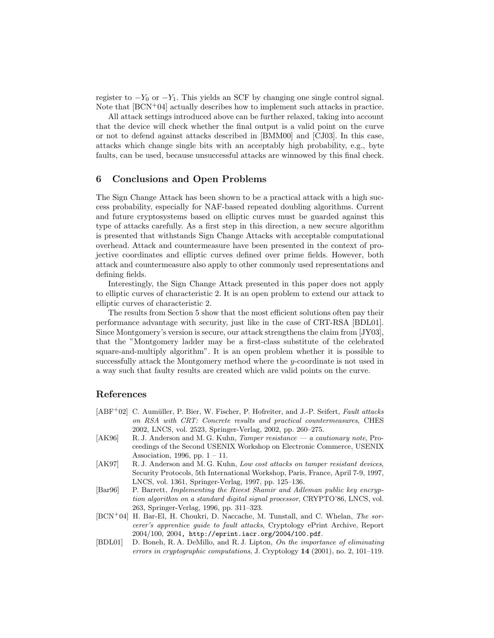register to  $-Y_0$  or  $-Y_1$ . This yields an SCF by changing one single control signal. Note that  $[BCN+04]$  actually describes how to implement such attacks in practice.

All attack settings introduced above can be further relaxed, taking into account that the device will check whether the final output is a valid point on the curve or not to defend against attacks described in [BMM00] and [CJ03]. In this case, attacks which change single bits with an acceptably high probability, e.g., byte faults, can be used, because unsuccessful attacks are winnowed by this final check.

## 6 Conclusions and Open Problems

The Sign Change Attack has been shown to be a practical attack with a high success probability, especially for NAF-based repeated doubling algorithms. Current and future cryptosystems based on elliptic curves must be guarded against this type of attacks carefully. As a first step in this direction, a new secure algorithm is presented that withstands Sign Change Attacks with acceptable computational overhead. Attack and countermeasure have been presented in the context of projective coordinates and elliptic curves defined over prime fields. However, both attack and countermeasure also apply to other commonly used representations and defining fields.

Interestingly, the Sign Change Attack presented in this paper does not apply to elliptic curves of characteristic 2. It is an open problem to extend our attack to elliptic curves of characteristic 2.

The results from Section 5 show that the most efficient solutions often pay their performance advantage with security, just like in the case of CRT-RSA [BDL01]. Since Montgomery's version is secure, our attack strengthens the claim from [JY03], that the "Montgomery ladder may be a first-class substitute of the celebrated square-and-multiply algorithm". It is an open problem whether it is possible to successfully attack the Montgomery method where the y-coordinate is not used in a way such that faulty results are created which are valid points on the curve.

## References

- [ABF<sup>+</sup>02] C. Aumüller, P. Bier, W. Fischer, P. Hofreiter, and J.-P. Seifert, Fault attacks on RSA with CRT: Concrete results and practical countermeasures, CHES 2002, LNCS, vol. 2523, Springer-Verlag, 2002, pp. 260–275.
- [AK96] R. J. Anderson and M. G. Kuhn, Tamper resistance a cautionary note, Proceedings of the Second USENIX Workshop on Electronic Commerce, USENIX Association, 1996, pp.  $1 - 11$ .
- [AK97] R. J. Anderson and M. G. Kuhn, Low cost attacks on tamper resistant devices, Security Protocols, 5th International Workshop, Paris, France, April 7-9, 1997, LNCS, vol. 1361, Springer-Verlag, 1997, pp. 125–136.
- [Bar96] P. Barrett, Implementing the Rivest Shamir and Adleman public key encryption algorithm on a standard digital signal processor, CRYPTO'86, LNCS, vol. 263, Springer-Verlag, 1996, pp. 311–323.
- [BCN<sup>+</sup>04] H. Bar-El, H. Choukri, D. Naccache, M. Tunstall, and C. Whelan, The sorcerer's apprentice guide to fault attacks, Cryptology ePrint Archive, Report 2004/100, 2004, http://eprint.iacr.org/2004/100.pdf.
- [BDL01] D. Boneh, R. A. DeMillo, and R. J. Lipton, On the importance of eliminating errors in cryptographic computations, J. Cryptology 14 (2001), no. 2, 101–119.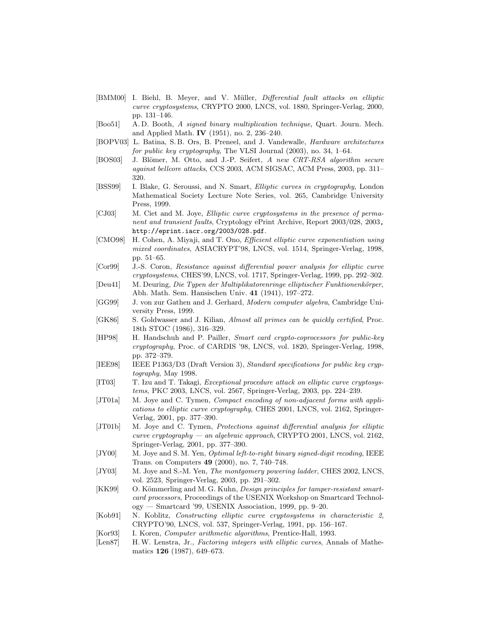- [BMM00] I. Biehl, B. Meyer, and V. Müller, *Differential fault attacks on elliptic* curve cryptosystems, CRYPTO 2000, LNCS, vol. 1880, Springer-Verlag, 2000, pp. 131–146.
- [Boo51] A. D. Booth, A signed binary multiplication technique, Quart. Journ. Mech. and Applied Math. IV (1951), no. 2, 236–240.
- [BOPV03] L. Batina, S.B. Ors, B. Preneel, and J. Vandewalle, *Hardware architectures* for public key cryptography, The VLSI Journal (2003), no. 34, 1–64.
- [BOS03] J. Blömer, M. Otto, and J.-P. Seifert, A new CRT-RSA algorithm secure against bellcore attacks, CCS 2003, ACM SIGSAC, ACM Press, 2003, pp. 311– 320.
- [BSS99] I. Blake, G. Seroussi, and N. Smart, Elliptic curves in cryptography, London Mathematical Society Lecture Note Series, vol. 265, Cambridge University Press, 1999.
- [CJ03] M. Ciet and M. Joye, Elliptic curve cryptosystems in the presence of permanent and transient faults, Cryptology ePrint Archive, Report 2003/028, 2003, http://eprint.iacr.org/2003/028.pdf.
- [CMO98] H. Cohen, A. Miyaji, and T. Ono, Efficient elliptic curve exponentiation using mixed coordinates, ASIACRYPT'98, LNCS, vol. 1514, Springer-Verlag, 1998, pp. 51–65.
- [Cor99] J.-S. Coron, Resistance against differential power analysis for elliptic curve cryptosystems, CHES'99, LNCS, vol. 1717, Springer-Verlag, 1999, pp. 292–302.
- [Deu41] M. Deuring, Die Typen der Multiplikatorenringe elliptischer Funktionenkörper, Abh. Math. Sem. Hansischen Univ. 41 (1941), 197–272.
- [GG99] J. von zur Gathen and J. Gerhard, Modern computer algebra, Cambridge University Press, 1999.
- [GK86] S. Goldwasser and J. Kilian, Almost all primes can be quickly certified, Proc. 18th STOC (1986), 316–329.
- [HP98] H. Handschuh and P. Pailler, Smart card crypto-coprocessors for public-key cryptography, Proc. of CARDIS '98, LNCS, vol. 1820, Springer-Verlag, 1998, pp. 372–379.
- [IEE98] IEEE P1363/D3 (Draft Version 3), Standard specifications for public key cryptography, May 1998.
- [IT03] T. Izu and T. Takagi, Exceptional procedure attack on elliptic curve cryptosystems, PKC 2003, LNCS, vol. 2567, Springer-Verlag, 2003, pp. 224–239.
- [JT01a] M. Joye and C. Tymen, Compact encoding of non-adjacent forms with applications to elliptic curve cryptography, CHES 2001, LNCS, vol. 2162, Springer-Verlag, 2001, pp. 377–390.
- [JT01b] M. Joye and C. Tymen, Protections against differential analysis for elliptic curve cryptography — an algebraic approach, CRYPTO 2001, LNCS, vol. 2162, Springer-Verlag, 2001, pp. 377–390.
- [JY00] M. Joye and S. M. Yen, *Optimal left-to-right binary signed-digit recoding*, IEEE Trans. on Computers 49 (2000), no. 7, 740–748.
- [JY03] M. Joye and S.-M. Yen, The montgomery powering ladder, CHES 2002, LNCS, vol. 2523, Springer-Verlag, 2003, pp. 291–302.
- [KK99] O. Kömmerling and M. G. Kuhn, *Design principles for tamper-resistant smart*card processors, Proceedings of the USENIX Workshop on Smartcard Technology — Smartcard '99, USENIX Association, 1999, pp. 9–20.
- [Kob91] N. Koblitz, Constructing elliptic curve cryptosystems in characteristic 2, CRYPTO'90, LNCS, vol. 537, Springer-Verlag, 1991, pp. 156–167.
- [Kor93] I. Koren, Computer arithmetic algorithms, Prentice-Hall, 1993.
- [Len87] H.W. Lenstra, Jr., Factoring integers with elliptic curves, Annals of Mathematics 126 (1987), 649–673.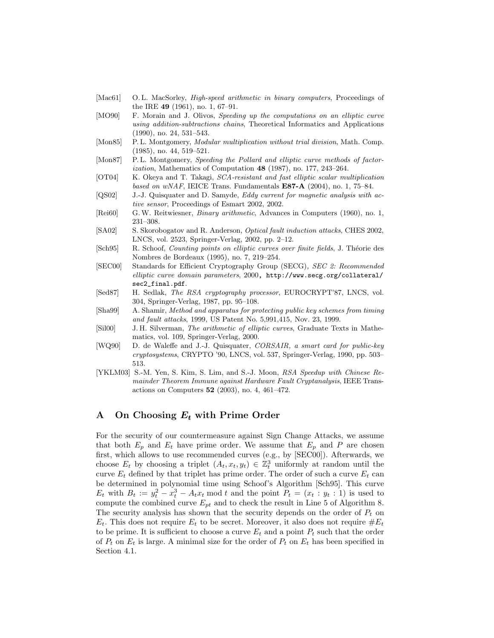- [Mac61] O.L. MacSorley, *High-speed arithmetic in binary computers*, Proceedings of the IRE 49 (1961), no. 1, 67–91.
- [MO90] F. Morain and J. Olivos, Speeding up the computations on an elliptic curve using addition-subtractions chains, Theoretical Informatics and Applications (1990), no. 24, 531–543.
- [Mon85] P.L. Montgomery, *Modular multiplication without trial division*, Math. Comp. (1985), no. 44, 519–521.
- [Mon87] P.L. Montgomery, Speeding the Pollard and elliptic curve methods of factorization, Mathematics of Computation 48 (1987), no. 177, 243–264.
- [OT04] K. Okeya and T. Takagi, SCA-resistant and fast elliptic scalar multiplication based on wNAF, IEICE Trans. Fundamentals  $E87-A$  (2004), no. 1, 75–84.
- [QS02] J.-J. Quisquater and D. Samyde, Eddy current for magnetic analysis with active sensor, Proceedings of Esmart 2002, 2002.
- [Rei60] G. W. Reitwiesner, Binary arithmetic, Advances in Computers (1960), no. 1, 231–308.
- [SA02] S. Skorobogatov and R. Anderson, Optical fault induction attacks, CHES 2002, LNCS, vol. 2523, Springer-Verlag, 2002, pp. 2–12.
- [Sch95] R. Schoof, *Counting points on elliptic curves over finite fields*, J. Théorie des Nombres de Bordeaux (1995), no. 7, 219–254.
- [SEC00] Standards for Efficient Cryptography Group (SECG), SEC 2: Recommended elliptic curve domain parameters, 2000, http://www.secg.org/collateral/ sec2\_final.pdf.
- [Sed87] H. Sedlak, *The RSA cryptography processor*, EUROCRYPT'87, LNCS, vol. 304, Springer-Verlag, 1987, pp. 95–108.
- [Sha99] A. Shamir, Method and apparatus for protecting public key schemes from timing and fault attacks, 1999, US Patent No. 5,991,415, Nov. 23, 1999.
- [Sil00] J. H. Silverman, The arithmetic of elliptic curves, Graduate Texts in Mathematics, vol. 109, Springer-Verlag, 2000.
- [WQ90] D. de Waleffe and J.-J. Quisquater, CORSAIR, a smart card for public-key cryptosystems, CRYPTO '90, LNCS, vol. 537, Springer-Verlag, 1990, pp. 503– 513.
- [YKLM03] S.-M. Yen, S. Kim, S. Lim, and S.-J. Moon, RSA Speedup with Chinese Remainder Theorem Immune against Hardware Fault Cryptanalysis, IEEE Transactions on Computers 52 (2003), no. 4, 461–472.

## A On Choosing  $E_t$  with Prime Order

For the security of our countermeasure against Sign Change Attacks, we assume that both  $E_p$  and  $E_t$  have prime order. We assume that  $E_p$  and P are chosen first, which allows to use recommended curves (e.g., by [SEC00]). Afterwards, we choose  $E_t$  by choosing a triplet  $(A_t, x_t, y_t) \in \mathbb{Z}_t^3$  uniformly at random until the curve  $E_t$  defined by that triplet has prime order. The order of such a curve  $E_t$  can be determined in polynomial time using Schoof's Algorithm [Sch95]. This curve  $E_t$  with  $B_t := y_t^2 - x_t^3 - A_t x_t \mod t$  and the point  $P_t = (x_t : y_t : 1)$  is used to compute the combined curve  $E_{pt}$  and to check the result in Line 5 of Algorithm 8. The security analysis has shown that the security depends on the order of  $P_t$  on  $E_t$ . This does not require  $E_t$  to be secret. Moreover, it also does not require  $\#E_t$ to be prime. It is sufficient to choose a curve  $E_t$  and a point  $P_t$  such that the order of  $P_t$  on  $E_t$  is large. A minimal size for the order of  $P_t$  on  $E_t$  has been specified in Section 4.1.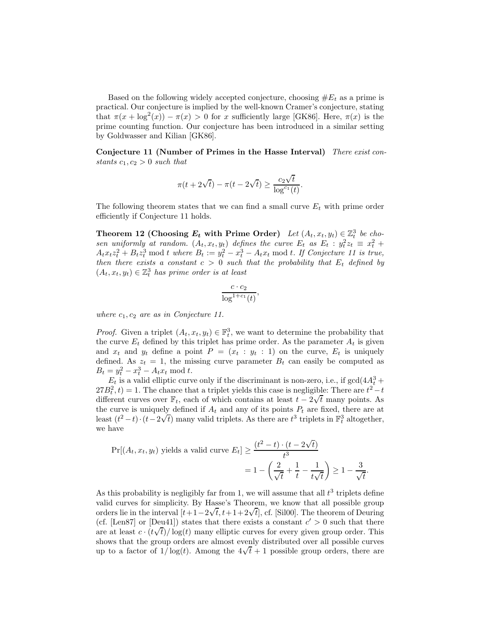Based on the following widely accepted conjecture, choosing  $\#E_t$  as a prime is practical. Our conjecture is implied by the well-known Cramer's conjecture, stating that  $\pi(x + \log^2(x)) - \pi(x) > 0$  for x sufficiently large [GK86]. Here,  $\pi(x)$  is the prime counting function. Our conjecture has been introduced in a similar setting by Goldwasser and Kilian [GK86].

Conjecture 11 (Number of Primes in the Hasse Interval) There exist constants  $c_1, c_2 > 0$  such that

$$
\pi(t+2\sqrt{t}) - \pi(t-2\sqrt{t}) \ge \frac{c_2\sqrt{t}}{\log^{c_1}(t)}.
$$

The following theorem states that we can find a small curve  $E_t$  with prime order efficiently if Conjecture 11 holds.

Theorem 12 (Choosing  $E_t$  with Prime Order) Let  $(A_t, x_t, y_t) \in \mathbb{Z}_t^3$  be chosen uniformly at random.  $(A_t, x_t, y_t)$  defines the curve  $E_t$  as  $E_t : y_t^2 z_t \equiv x_t^2 +$  $A_t x_t z_t^2 + B_t z_t^3$  mod t where  $B_t := y_t^2 - x_t^3 - A_t x_t$  mod t. If Conjecture 11 is true, then there exists a constant  $c > 0$  such that the probability that  $E_t$  defined by  $(A_t, x_t, y_t) \in \mathbb{Z}_t^3$  has prime order is at least

$$
\frac{c \cdot c_2}{\log^{1+c_1}(t)},
$$

where  $c_1, c_2$  are as in Conjecture 11.

*Proof.* Given a triplet  $(A_t, x_t, y_t) \in \mathbb{F}_t^3$ , we want to determine the probability that the curve  $E_t$  defined by this triplet has prime order. As the parameter  $A_t$  is given and  $x_t$  and  $y_t$  define a point  $P = (x_t : y_t : 1)$  on the curve,  $E_t$  is uniquely defined. As  $z_t = 1$ , the missing curve parameter  $B_t$  can easily be computed as  $B_t = y_t^2 - x_t^3 - A_t x_t \text{ mod } t.$ 

 $E_t$  is a valid elliptic curve only if the discriminant is non-zero, i.e., if  $gcd(4A_t^3 +$  $27B_t^2$ , t) = 1. The chance that a triplet yields this case is negligible: There are  $t^2-t$ different curves over  $\mathbb{F}_t$ , each of which contains at least  $t - 2\sqrt{t}$  many points. As the curve is uniquely defined if  $A_t$  and any of its points  $P_t$  are fixed, there are at least  $(t^2 - t) \cdot (t - 2\sqrt{t})$  many valid triplets. As there are  $t^3$  triplets in  $\mathbb{F}_t^3$  altogether, we have

$$
\Pr[(A_t, x_t, y_t) \text{ yields a valid curve } E_t] \ge \frac{(t^2 - t) \cdot (t - 2\sqrt{t})}{t^3}
$$

$$
= 1 - \left(\frac{2}{\sqrt{t}} + \frac{1}{t} - \frac{1}{t\sqrt{t}}\right) \ge 1 - \frac{3}{\sqrt{t}}.
$$

As this probability is negligibly far from 1, we will assume that all  $t^3$  triplets define valid curves for simplicity. By Hasse's Theorem, we know that all possible group orders lie in the interval  $[t+1-2\sqrt{t}, t+1+2\sqrt{t}]$ , cf. [Sil00]. The theorem of Deuring (cf. [Len87] or [Deu41]) states that there exists a constant  $c' > 0$  such that there are at least  $c \cdot (t\sqrt{t})/\log(t)$  many elliptic curves for every given group order. This shows that the group orders are almost evenly distributed over all possible curves up to a factor of  $1/\log(t)$ . Among the  $4\sqrt{t}+1$  possible group orders, there are